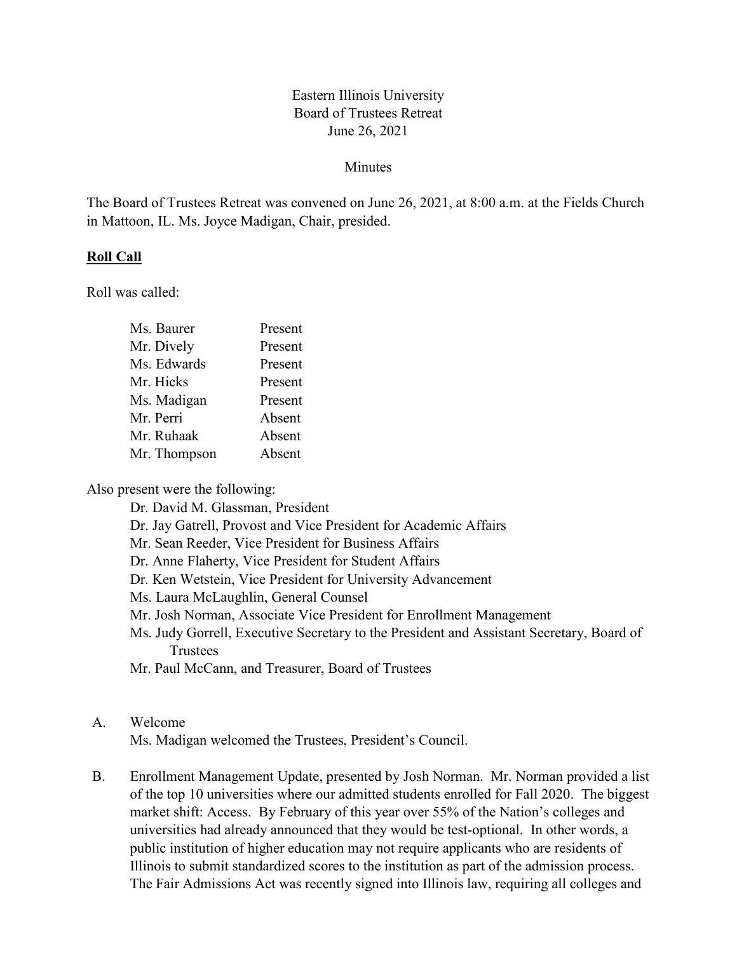## Eastern Illinois University Board of Trustees Retreat June 26, 2021

### **Minutes**

The Board of Trustees Retreat was convened on June 26, 2021, at 8:00 a.m. at the Fields Church in Mattoon, IL. Ms. Joyce Madigan, Chair, presided.

### **Roll Call**

Roll was called:

| Ms. Baurer   | Present |
|--------------|---------|
| Mr. Dively   | Present |
| Ms. Edwards  | Present |
| Mr. Hicks    | Present |
| Ms. Madigan  | Present |
| Mr. Perri    | Absent  |
| Mr. Ruhaak   | Absent  |
| Mr. Thompson | Absent  |
|              |         |

Also present were the following:

- Dr. David M. Glassman, President
- Dr. Jay Gatrell, Provost and Vice President for Academic Affairs
- Mr. Sean Reeder, Vice President for Business Affairs
- Dr. Anne Flaherty, Vice President for Student Affairs
- Dr. Ken Wetstein, Vice President for University Advancement
- Ms. Laura McLaughlin, General Counsel
- Mr. Josh Norman, Associate Vice President for Enrollment Management
- Ms. Judy Gorrell, Executive Secretary to the President and Assistant Secretary, Board of **Trustees**
- Mr. Paul McCann, and Treasurer, Board of Trustees

### A. Welcome

Ms. Madigan welcomed the Trustees, President's Council.

B. Enrollment Management Update, presented by Josh Norman. Mr. Norman provided a list of the top 10 universities where our admitted students enrolled for Fall 2020. The biggest market shift: Access. By February of this year over 55% of the Nation's colleges and universities had already announced that they would be test-optional. In other words, a public institution of higher education may not require applicants who are residents of Illinois to submit standardized scores to the institution as part of the admission process. The Fair Admissions Act was recently signed into Illinois law, requiring all colleges and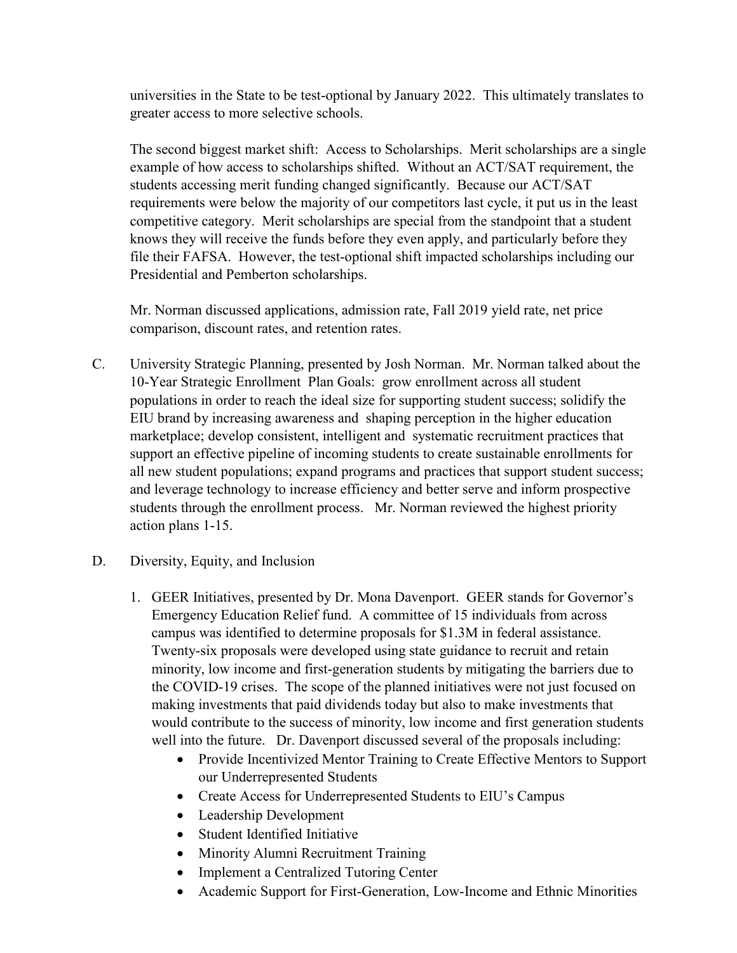universities in the State to be test-optional by January 2022. This ultimately translates to greater access to more selective schools.

The second biggest market shift: Access to Scholarships. Merit scholarships are a single example of how access to scholarships shifted. Without an ACT/SAT requirement, the students accessing merit funding changed significantly. Because our ACT/SAT requirements were below the majority of our competitors last cycle, it put us in the least competitive category. Merit scholarships are special from the standpoint that a student knows they will receive the funds before they even apply, and particularly before they file their FAFSA. However, the test-optional shift impacted scholarships including our Presidential and Pemberton scholarships.

Mr. Norman discussed applications, admission rate, Fall 2019 yield rate, net price comparison, discount rates, and retention rates.

- C. University Strategic Planning, presented by Josh Norman. Mr. Norman talked about the 10-Year Strategic Enrollment Plan Goals: grow enrollment across all student populations in order to reach the ideal size for supporting student success; solidify the EIU brand by increasing awareness and shaping perception in the higher education marketplace; develop consistent, intelligent and systematic recruitment practices that support an effective pipeline of incoming students to create sustainable enrollments for all new student populations; expand programs and practices that support student success; and leverage technology to increase efficiency and better serve and inform prospective students through the enrollment process. Mr. Norman reviewed the highest priority action plans 1-15.
- D. Diversity, Equity, and Inclusion
	- 1. GEER Initiatives, presented by Dr. Mona Davenport. GEER stands for Governor's Emergency Education Relief fund. A committee of 15 individuals from across campus was identified to determine proposals for \$1.3M in federal assistance. Twenty-six proposals were developed using state guidance to recruit and retain minority, low income and first-generation students by mitigating the barriers due to the COVID-19 crises. The scope of the planned initiatives were not just focused on making investments that paid dividends today but also to make investments that would contribute to the success of minority, low income and first generation students well into the future. Dr. Davenport discussed several of the proposals including:
		- Provide Incentivized Mentor Training to Create Effective Mentors to Support our Underrepresented Students
		- Create Access for Underrepresented Students to EIU's Campus
		- Leadership Development
		- Student Identified Initiative
		- Minority Alumni Recruitment Training
		- Implement a Centralized Tutoring Center
		- Academic Support for First-Generation, Low-Income and Ethnic Minorities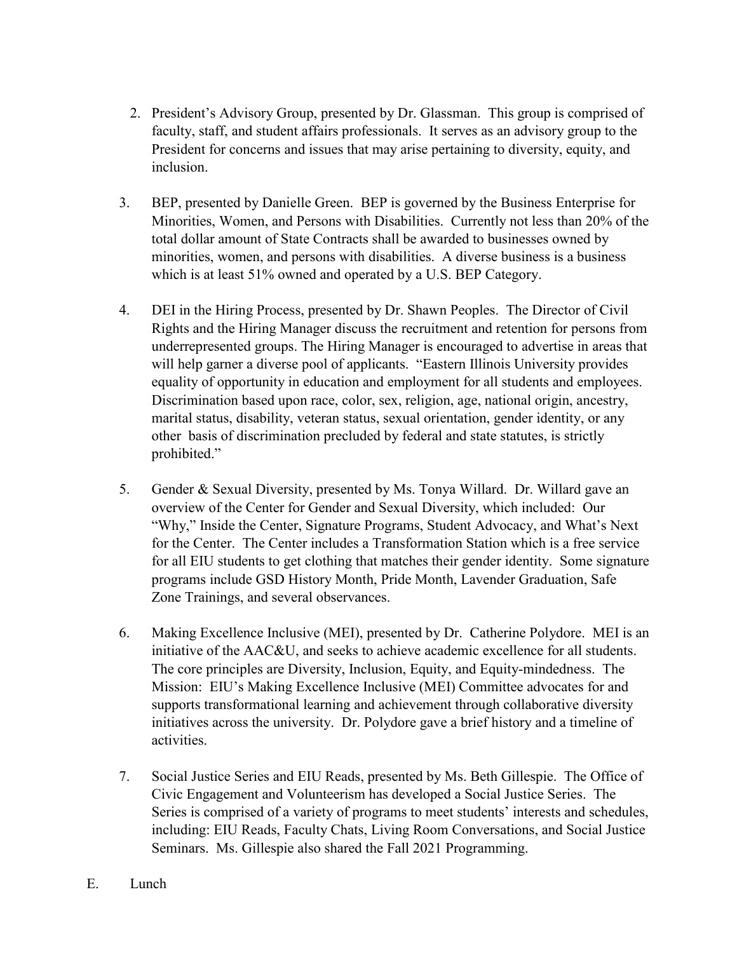- 2. President's Advisory Group, presented by Dr. Glassman. This group is comprised of faculty, staff, and student affairs professionals. It serves as an advisory group to the President for concerns and issues that may arise pertaining to diversity, equity, and inclusion.
- 3. BEP, presented by Danielle Green. BEP is governed by the Business Enterprise for Minorities, Women, and Persons with Disabilities. Currently not less than 20% of the total dollar amount of State Contracts shall be awarded to businesses owned by minorities, women, and persons with disabilities. A diverse business is a business which is at least 51% owned and operated by a U.S. BEP Category.
- 4. DEI in the Hiring Process, presented by Dr. Shawn Peoples. The Director of Civil Rights and the Hiring Manager discuss the recruitment and retention for persons from underrepresented groups. The Hiring Manager is encouraged to advertise in areas that will help garner a diverse pool of applicants. "Eastern Illinois University provides equality of opportunity in education and employment for all students and employees. Discrimination based upon race, color, sex, religion, age, national origin, ancestry, marital status, disability, veteran status, sexual orientation, gender identity, or any other basis of discrimination precluded by federal and state statutes, is strictly prohibited."
- 5. Gender & Sexual Diversity, presented by Ms. Tonya Willard. Dr. Willard gave an overview of the Center for Gender and Sexual Diversity, which included: Our "Why," Inside the Center, Signature Programs, Student Advocacy, and What's Next for the Center. The Center includes a Transformation Station which is a free service for all EIU students to get clothing that matches their gender identity. Some signature programs include GSD History Month, Pride Month, Lavender Graduation, Safe Zone Trainings, and several observances.
- 6. Making Excellence Inclusive (MEI), presented by Dr. Catherine Polydore. MEI is an initiative of the AAC&U, and seeks to achieve academic excellence for all students. The core principles are Diversity, Inclusion, Equity, and Equity-mindedness. The Mission: EIU's Making Excellence Inclusive (MEI) Committee advocates for and supports transformational learning and achievement through collaborative diversity initiatives across the university. Dr. Polydore gave a brief history and a timeline of activities.
- 7. Social Justice Series and EIU Reads, presented by Ms. Beth Gillespie. The Office of Civic Engagement and Volunteerism has developed a Social Justice Series. The Series is comprised of a variety of programs to meet students' interests and schedules, including: EIU Reads, Faculty Chats, Living Room Conversations, and Social Justice Seminars. Ms. Gillespie also shared the Fall 2021 Programming.
- E. Lunch